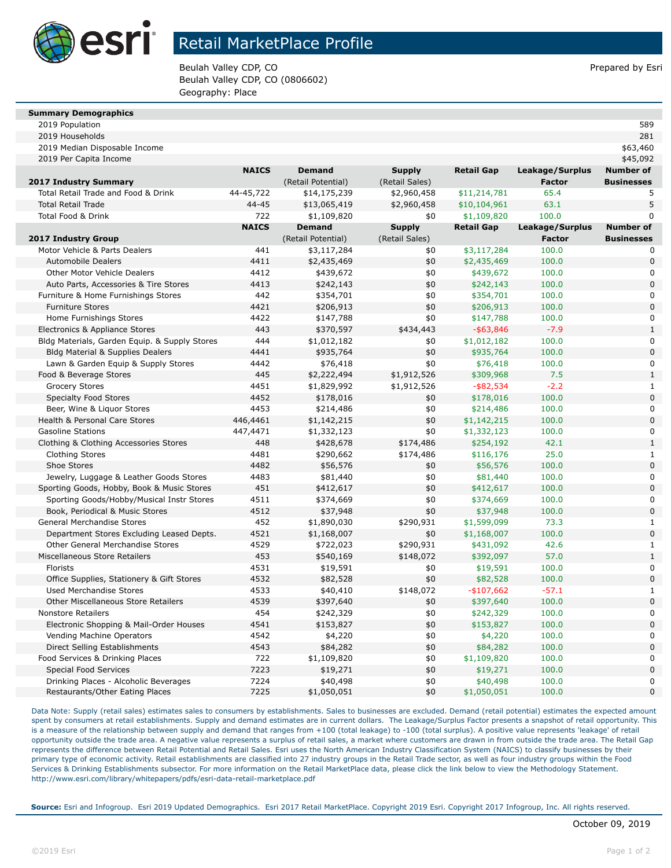

## Retail MarketPlace Profile

Beulah Valley CDP, CO **Prepared by Estimate Struck CDP, CO** Prepared by Esri Beulah Valley CDP, CO (0806602) Geography: Place

| <b>Summary Demographics</b> |  |
|-----------------------------|--|

| 2019 Population                               |              |                    |                |                   |                 | 589               |
|-----------------------------------------------|--------------|--------------------|----------------|-------------------|-----------------|-------------------|
| 2019 Households                               |              |                    |                |                   |                 | 281               |
| 2019 Median Disposable Income                 |              |                    |                |                   |                 | \$63,460          |
| 2019 Per Capita Income                        |              |                    |                |                   |                 | \$45,092          |
|                                               | <b>NAICS</b> | <b>Demand</b>      | <b>Supply</b>  | <b>Retail Gap</b> | Leakage/Surplus | <b>Number of</b>  |
| 2017 Industry Summary                         |              | (Retail Potential) | (Retail Sales) |                   | Factor          | <b>Businesses</b> |
| Total Retail Trade and Food & Drink           | 44-45,722    | \$14,175,239       | \$2,960,458    | \$11,214,781      | 65.4            | 5                 |
| <b>Total Retail Trade</b>                     | 44-45        | \$13,065,419       | \$2,960,458    | \$10,104,961      | 63.1            | 5                 |
| Total Food & Drink                            | 722          | \$1,109,820        | \$0            | \$1,109,820       | 100.0           | 0                 |
|                                               | <b>NAICS</b> | <b>Demand</b>      | <b>Supply</b>  | <b>Retail Gap</b> | Leakage/Surplus | <b>Number of</b>  |
| 2017 Industry Group                           |              | (Retail Potential) | (Retail Sales) |                   | <b>Factor</b>   | <b>Businesses</b> |
| Motor Vehicle & Parts Dealers                 | 441          | \$3,117,284        | \$0            | \$3,117,284       | 100.0           | 0                 |
| <b>Automobile Dealers</b>                     | 4411         | \$2,435,469        | \$0            | \$2,435,469       | 100.0           | 0                 |
| <b>Other Motor Vehicle Dealers</b>            | 4412         | \$439,672          | \$0            | \$439,672         | 100.0           | 0                 |
| Auto Parts, Accessories & Tire Stores         | 4413         | \$242,143          | \$0            | \$242,143         | 100.0           | 0                 |
| Furniture & Home Furnishings Stores           | 442          | \$354,701          | \$0            | \$354,701         | 100.0           | 0                 |
| <b>Furniture Stores</b>                       | 4421         | \$206,913          | \$0            | \$206,913         | 100.0           | 0                 |
| Home Furnishings Stores                       | 4422         | \$147,788          | \$0            | \$147,788         | 100.0           | 0                 |
| Electronics & Appliance Stores                | 443          | \$370,597          | \$434,443      | $-$ \$63,846      | $-7.9$          | $\mathbf{1}$      |
| Bldg Materials, Garden Equip. & Supply Stores | 444          | \$1,012,182        | \$0            | \$1,012,182       | 100.0           | 0                 |
| <b>Bldg Material &amp; Supplies Dealers</b>   | 4441         | \$935,764          | \$0            | \$935,764         | 100.0           | 0                 |
| Lawn & Garden Equip & Supply Stores           | 4442         | \$76,418           | \$0            | \$76,418          | 100.0           | 0                 |
| Food & Beverage Stores                        | 445          | \$2,222,494        | \$1,912,526    | \$309,968         | 7.5             | $\mathbf{1}$      |
| <b>Grocery Stores</b>                         | 4451         | \$1,829,992        | \$1,912,526    | $-$ \$82,534      | $-2.2$          | 1                 |
| <b>Specialty Food Stores</b>                  | 4452         | \$178,016          | \$0            | \$178,016         | 100.0           | 0                 |
| Beer, Wine & Liquor Stores                    | 4453         | \$214,486          | \$0            | \$214,486         | 100.0           | 0                 |
| Health & Personal Care Stores                 | 446,4461     | \$1,142,215        | \$0            | \$1,142,215       | 100.0           | 0                 |
| <b>Gasoline Stations</b>                      |              |                    |                |                   |                 | 0                 |
|                                               | 447,4471     | \$1,332,123        | \$0            | \$1,332,123       | 100.0           | $\mathbf{1}$      |
| Clothing & Clothing Accessories Stores        | 448          | \$428,678          | \$174,486      | \$254,192         | 42.1            |                   |
| <b>Clothing Stores</b>                        | 4481         | \$290,662          | \$174,486      | \$116,176         | 25.0            | 1<br>0            |
| Shoe Stores                                   | 4482         | \$56,576           | \$0            | \$56,576          | 100.0           |                   |
| Jewelry, Luggage & Leather Goods Stores       | 4483         | \$81,440           | \$0            | \$81,440          | 100.0           | 0                 |
| Sporting Goods, Hobby, Book & Music Stores    | 451          | \$412,617          | \$0            | \$412,617         | 100.0           | 0                 |
| Sporting Goods/Hobby/Musical Instr Stores     | 4511         | \$374,669          | \$0            | \$374,669         | 100.0           | 0                 |
| Book, Periodical & Music Stores               | 4512         | \$37,948           | \$0            | \$37,948          | 100.0           | $\overline{0}$    |
| General Merchandise Stores                    | 452          | \$1,890,030        | \$290,931      | \$1,599,099       | 73.3            | $\mathbf{1}$      |
| Department Stores Excluding Leased Depts.     | 4521         | \$1,168,007        | \$0            | \$1,168,007       | 100.0           | 0                 |
| Other General Merchandise Stores              | 4529         | \$722,023          | \$290,931      | \$431,092         | 42.6            | $\mathbf{1}$      |
| Miscellaneous Store Retailers                 | 453          | \$540,169          | \$148,072      | \$392,097         | 57.0            | $\mathbf{1}$      |
| Florists                                      | 4531         | \$19,591           | \$0            | \$19,591          | 100.0           | 0                 |
| Office Supplies, Stationery & Gift Stores     | 4532         | \$82,528           | \$0            | \$82,528          | 100.0           | $\overline{0}$    |
| <b>Used Merchandise Stores</b>                | 4533         | \$40,410           | \$148,072      | $-$107,662$       | $-57.1$         | 1                 |
| <b>Other Miscellaneous Store Retailers</b>    | 4539         | \$397,640          | \$0            | \$397,640         | 100.0           | $\overline{0}$    |
| Nonstore Retailers                            | 454          | \$242,329          | $\$0$          | \$242,329         | 100.0           | O                 |
| Electronic Shopping & Mail-Order Houses       | 4541         | \$153,827          | \$0            | \$153,827         | 100.0           | 0                 |
| Vending Machine Operators                     | 4542         | \$4,220            | \$0            | \$4,220           | 100.0           | 0                 |
| Direct Selling Establishments                 | 4543         | \$84,282           | \$0            | \$84,282          | 100.0           | 0                 |
| Food Services & Drinking Places               | 722          | \$1,109,820        | \$0            | \$1,109,820       | 100.0           | 0                 |
| Special Food Services                         | 7223         | \$19,271           | \$0            | \$19,271          | 100.0           | 0                 |
| Drinking Places - Alcoholic Beverages         | 7224         | \$40,498           | \$0            | \$40,498          | 100.0           | 0                 |
| Restaurants/Other Eating Places               | 7225         | \$1,050,051        | \$0            | \$1,050,051       | 100.0           | 0                 |

Data Note: Supply (retail sales) estimates sales to consumers by establishments. Sales to businesses are excluded. Demand (retail potential) estimates the expected amount spent by consumers at retail establishments. Supply and demand estimates are in current dollars. The Leakage/Surplus Factor presents a snapshot of retail opportunity. This is a measure of the relationship between supply and demand that ranges from +100 (total leakage) to -100 (total surplus). A positive value represents 'leakage' of retail opportunity outside the trade area. A negative value represents a surplus of retail sales, a market where customers are drawn in from outside the trade area. The Retail Gap represents the difference between Retail Potential and Retail Sales. Esri uses the North American Industry Classification System (NAICS) to classify businesses by their primary type of economic activity. Retail establishments are classified into 27 industry groups in the Retail Trade sector, as well as four industry groups within the Food Services & Drinking Establishments subsector. For more information on the Retail MarketPlace data, please click the link below to view the Methodology Statement. http://www.esri.com/library/whitepapers/pdfs/esri-data-retail-marketplace.pdf

**Source:** Esri and Infogroup. Esri 2019 Updated Demographics. Esri 2017 Retail MarketPlace. Copyright 2019 Esri. Copyright 2017 Infogroup, Inc. All rights reserved.